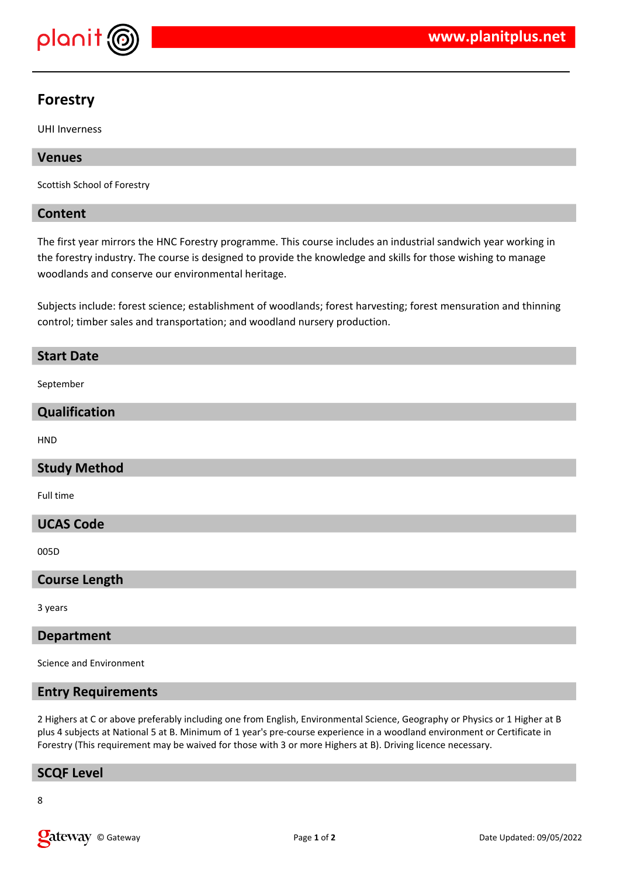

# **Forestry**

UHI Inverness

# **Venues**

Scottish School of Forestry

## **Content**

The first year mirrors the HNC Forestry programme. This course includes an industrial sandwich year working in the forestry industry. The course is designed to provide the knowledge and skills for those wishing to manage woodlands and conserve our environmental heritage.

Subjects include: forest science; establishment of woodlands; forest harvesting; forest mensuration and thinning control; timber sales and transportation; and woodland nursery production.

# **Start Date**

September

## **Qualification**

HND

# **Study Method**

Full time

## **UCAS Code**

005D

## **Course Length**

3 years

#### **Department**

Science and Environment

#### **Entry Requirements**

2 Highers at C or above preferably including one from English, Environmental Science, Geography or Physics or 1 Higher at B plus 4 subjects at National 5 at B. Minimum of 1 year's pre-course experience in a woodland environment or Certificate in Forestry (This requirement may be waived for those with 3 or more Highers at B). Driving licence necessary.

## **SCQF Level**